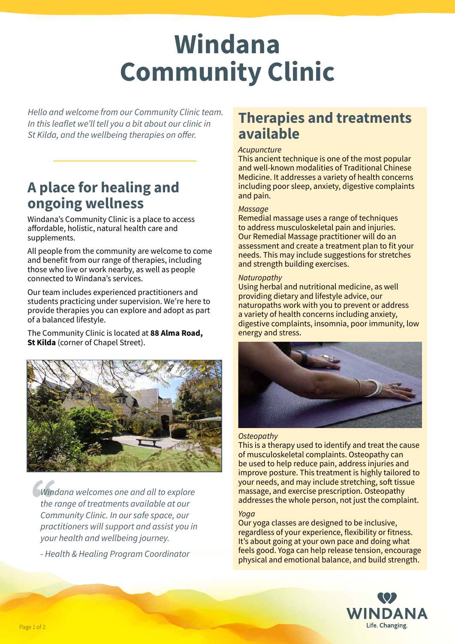# **Windana Community Clinic**

*Hello and welcome from our Community Clinic team. In this leaflet we'll tell you a bit about our clinic in St Kilda, and the wellbeing therapies on offer.*

## **A place for healing and ongoing wellness**

Windana's Community Clinic is a place to access affordable, holistic, natural health care and supplements.

All people from the community are welcome to come and benefit from our range of therapies, including those who live or work nearby, as well as people connected to Windana's services.

Our team includes experienced practitioners and students practicing under supervision. We're here to provide therapies you can explore and adopt as part of a balanced lifestyle.

The Community Clinic is located at **88 Alma Road, St Kilda** (corner of Chapel Street).



**1999**<br>
Win<br>
the *Windana welcomes one and all to explore the range of treatments available at our Community Clinic. In our safe space, our practitioners will support and assist you in your health and wellbeing journey.* 

*- Health & Healing Program Coordinator*

### **Therapies and treatments available**

#### *Acupuncture*

This ancient technique is one of the most popular and well-known modalities of Traditional Chinese Medicine. It addresses a variety of health concerns including poor sleep, anxiety, digestive complaints and pain.

#### *Massage*

Remedial massage uses a range of techniques to address musculoskeletal pain and injuries. Our Remedial Massage practitioner will do an assessment and create a treatment plan to fit your needs. This may include suggestions for stretches and strength building exercises.

#### *Naturopathy*

Using herbal and nutritional medicine, as well providing dietary and lifestyle advice, our naturopaths work with you to prevent or address a variety of health concerns including anxiety, digestive complaints, insomnia, poor immunity, low energy and stress.



#### *Osteopathy*

This is a therapy used to identify and treat the cause of musculoskeletal complaints. Osteopathy can be used to help reduce pain, address injuries and improve posture. This treatment is highly tailored to your needs, and may include stretching, soft tissue massage, and exercise prescription. Osteopathy addresses the whole person, not just the complaint.

#### *Yoga*

Our yoga classes are designed to be inclusive, regardless of your experience, flexibility or fitness. It's about going at your own pace and doing what feels good. Yoga can help release tension, encourage physical and emotional balance, and build strength.